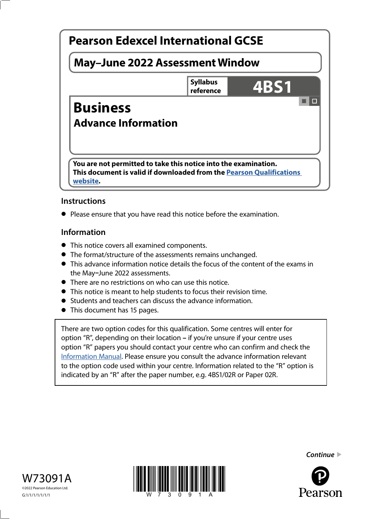

## **Instructions**

**•** Please ensure that you have read this notice before the examination.

### **Information**

- This notice covers all examined components.
- The format/structure of the assessments remains unchanged.
- This advance information notice details the focus of the content of the exams in the May**–**June 2022 assessments.
- There are no restrictions on who can use this notice.
- This notice is meant to help students to focus their revision time.
- Students and teachers can discuss the advance information.
- This document has 15 pages.

There are two option codes for this qualification. Some centres will enter for option "R", depending on their location **–** if you're unsure if your centre uses option "R" papers you should contact your centre who can confirm and check the [Information Manual](https://qualifications.pearson.com/content/dam/pdf/Support/Information-manual/6-International-GCSE.pdf). Please ensure you consult the advance information relevant to the option code used within your centre. Information related to the "R" option is indicated by an "R" after the paper number, e.g. 4BS1/02R or Paper 02R.





*Continue* 

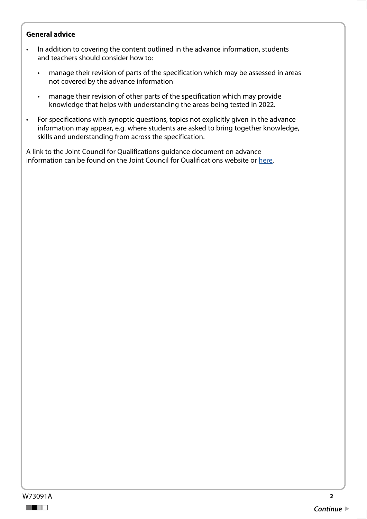### **General advice**

- In addition to covering the content outlined in the advance information, students and teachers should consider how to:
	- manage their revision of parts of the specification which may be assessed in areas not covered by the advance information
	- manage their revision of other parts of the specification which may provide knowledge that helps with understanding the areas being tested in 2022.
- For specifications with synoptic questions, topics not explicitly given in the advance information may appear, e.g. where students are asked to bring together knowledge, skills and understanding from across the specification.

A link to the Joint Council for Qualifications guidance document on advance information can be found on the Joint Council for Qualifications website or [here](https://www.jcq.org.uk/wp-content/uploads/2021/10/Advance-Information-for-General-Qualifications-2021-22.pdf
).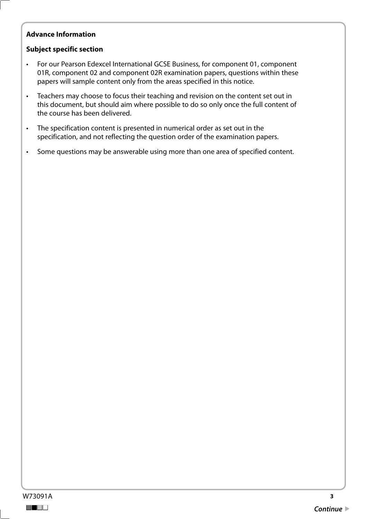## **Advance Information**

### **Subject specific section**

- For our Pearson Edexcel International GCSE Business, for component 01, component 01R, component 02 and component 02R examination papers, questions within these papers will sample content only from the areas specified in this notice.
- Teachers may choose to focus their teaching and revision on the content set out in this document, but should aim where possible to do so only once the full content of the course has been delivered.
- specification, and not reflecting the question order of the examination papers. • The specification content is presented in numerical order as set out in the
- Some questions may be answerable using more than one area of specified content.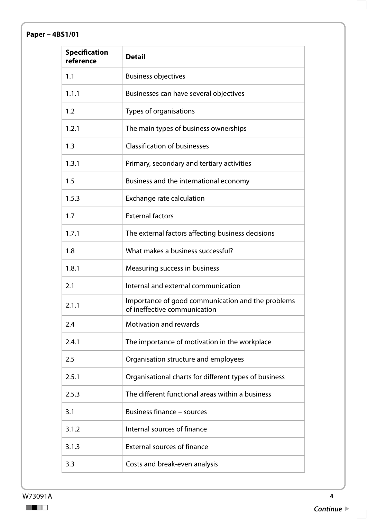# **Paper – 4BS1/01**

| <b>Specification</b><br>reference | <b>Detail</b>                                                                     |
|-----------------------------------|-----------------------------------------------------------------------------------|
| 1.1                               | <b>Business objectives</b>                                                        |
| 1.1.1                             | Businesses can have several objectives                                            |
| 1.2                               | Types of organisations                                                            |
| 1.2.1                             | The main types of business ownerships                                             |
| 1.3                               | <b>Classification of businesses</b>                                               |
| 1.3.1                             | Primary, secondary and tertiary activities                                        |
| 1.5                               | Business and the international economy                                            |
| 1.5.3                             | Exchange rate calculation                                                         |
| 1.7                               | <b>External factors</b>                                                           |
| 1.7.1                             | The external factors affecting business decisions                                 |
| 1.8                               | What makes a business successful?                                                 |
| 1.8.1                             | Measuring success in business                                                     |
| 2.1                               | Internal and external communication                                               |
| 2.1.1                             | Importance of good communication and the problems<br>of ineffective communication |
| 2.4                               | <b>Motivation and rewards</b>                                                     |
| 2.4.1                             | The importance of motivation in the workplace                                     |
| 2.5                               | Organisation structure and employees                                              |
| 2.5.1                             | Organisational charts for different types of business                             |
| 2.5.3                             | The different functional areas within a business                                  |
| 3.1                               | <b>Business finance - sources</b>                                                 |
| 3.1.2                             | Internal sources of finance                                                       |
| 3.1.3                             | <b>External sources of finance</b>                                                |
| 3.3                               | Costs and break-even analysis                                                     |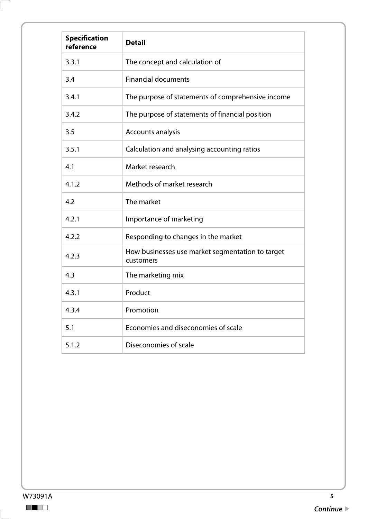| <b>Specification</b><br>reference | <b>Detail</b>                                                 |
|-----------------------------------|---------------------------------------------------------------|
| 3.3.1                             | The concept and calculation of                                |
| 3.4                               | <b>Financial documents</b>                                    |
| 3.4.1                             | The purpose of statements of comprehensive income             |
| 3.4.2                             | The purpose of statements of financial position               |
| 3.5                               | Accounts analysis                                             |
| 3.5.1                             | Calculation and analysing accounting ratios                   |
| 4.1                               | Market research                                               |
| 4.1.2                             | Methods of market research                                    |
| 4.2                               | The market                                                    |
| 4.2.1                             | Importance of marketing                                       |
| 4.2.2                             | Responding to changes in the market                           |
| 4.2.3                             | How businesses use market segmentation to target<br>customers |
| 4.3                               | The marketing mix                                             |
| 4.3.1                             | Product                                                       |
| 4.3.4                             | Promotion                                                     |
| 5.1                               | Economies and diseconomies of scale                           |
| 5.1.2                             | Diseconomies of scale                                         |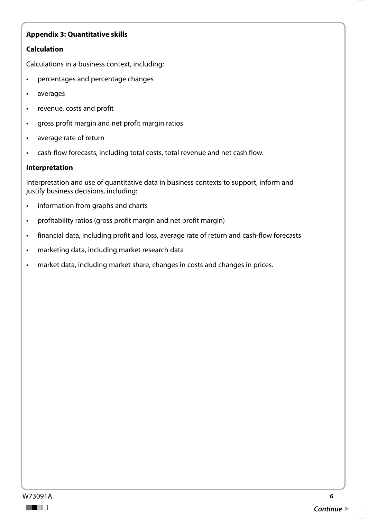### **Calculation**

Calculations in a business context, including:

- percentages and percentage changes
- averages
- revenue, costs and profit
- gross profit margin and net profit margin ratios
- average rate of return
- cash-flow forecasts, including total costs, total revenue and net cash flow.

#### **Interpretation**

Interpretation and use of quantitative data in business contexts to support, inform and justify business decisions, including:

- information from graphs and charts
- profitability ratios (gross profit margin and net profit margin)
- financial data, including profit and loss, average rate of return and cash-flow forecasts
- marketing data, including market research data
- market data, including market share, changes in costs and changes in prices.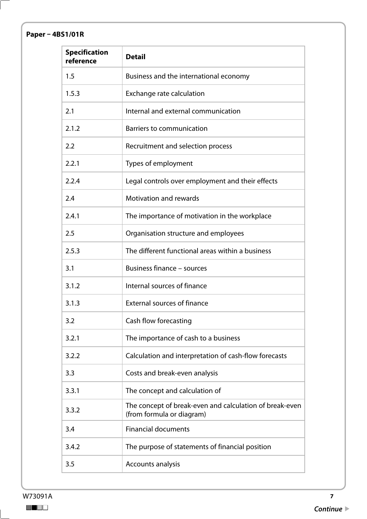# **Paper – 4BS1/01R**

| <b>Specification</b><br>reference | <b>Detail</b>                                                                        |
|-----------------------------------|--------------------------------------------------------------------------------------|
| 1.5                               | Business and the international economy                                               |
| 1.5.3                             | Exchange rate calculation                                                            |
| 2.1                               | Internal and external communication                                                  |
| 2.1.2                             | <b>Barriers to communication</b>                                                     |
| 2.2                               | Recruitment and selection process                                                    |
| 2.2.1                             | Types of employment                                                                  |
| 2.2.4                             | Legal controls over employment and their effects                                     |
| 2.4                               | <b>Motivation and rewards</b>                                                        |
| 2.4.1                             | The importance of motivation in the workplace                                        |
| 2.5                               | Organisation structure and employees                                                 |
| 2.5.3                             | The different functional areas within a business                                     |
| 3.1                               | <b>Business finance - sources</b>                                                    |
| 3.1.2                             | Internal sources of finance                                                          |
| 3.1.3                             | <b>External sources of finance</b>                                                   |
| 3.2                               | Cash flow forecasting                                                                |
| 3.2.1                             | The importance of cash to a business                                                 |
| 3.2.2                             | Calculation and interpretation of cash-flow forecasts                                |
| 3.3                               | Costs and break-even analysis                                                        |
| 3.3.1                             | The concept and calculation of                                                       |
| 3.3.2                             | The concept of break-even and calculation of break-even<br>(from formula or diagram) |
| 3.4                               | <b>Financial documents</b>                                                           |
| 3.4.2                             | The purpose of statements of financial position                                      |
| 3.5                               | Accounts analysis                                                                    |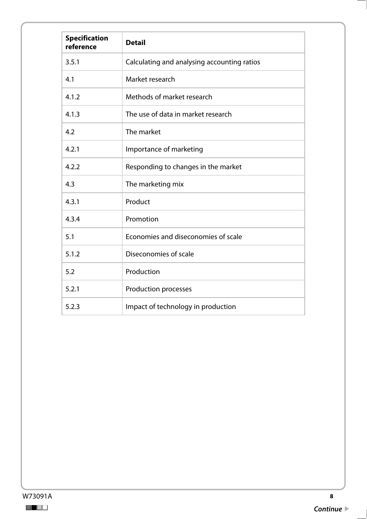| <b>Specification</b><br>reference | <b>Detail</b>                               |
|-----------------------------------|---------------------------------------------|
| 3.5.1                             | Calculating and analysing accounting ratios |
| 4.1                               | Market research                             |
| 4.1.2                             | Methods of market research                  |
| 4.1.3                             | The use of data in market research          |
| 4.2                               | The market                                  |
| 4.2.1                             | Importance of marketing                     |
| 4.2.2                             | Responding to changes in the market         |
| 4.3                               | The marketing mix                           |
| 4.3.1                             | Product                                     |
| 4.3.4                             | Promotion                                   |
| 5.1                               | Economies and diseconomies of scale         |
| 5.1.2                             | Diseconomies of scale                       |
| 5.2                               | Production                                  |
| 5.2.1                             | <b>Production processes</b>                 |
| 5.2.3                             | Impact of technology in production          |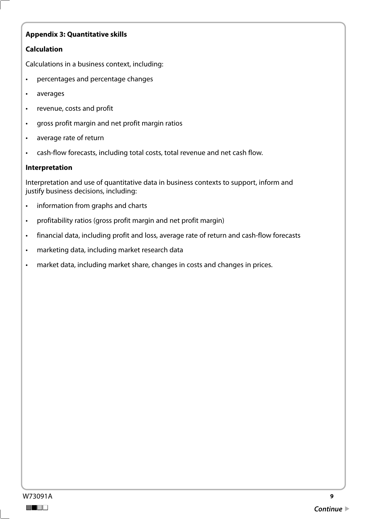### **Calculation**

Calculations in a business context, including:

- percentages and percentage changes
- averages
- revenue, costs and profit
- gross profit margin and net profit margin ratios
- average rate of return
- cash-flow forecasts, including total costs, total revenue and net cash flow.

#### **Interpretation**

Interpretation and use of quantitative data in business contexts to support, inform and justify business decisions, including:

- information from graphs and charts
- profitability ratios (gross profit margin and net profit margin)
- financial data, including profit and loss, average rate of return and cash-flow forecasts
- marketing data, including market research data
- market data, including market share, changes in costs and changes in prices.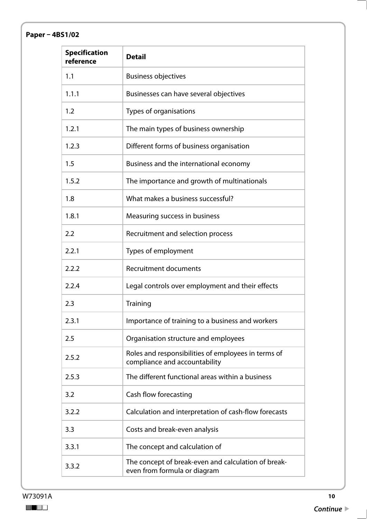# **Paper – 4BS1/02**

| <b>Specification</b><br>reference | <b>Detail</b>                                                                        |
|-----------------------------------|--------------------------------------------------------------------------------------|
| 1.1                               | <b>Business objectives</b>                                                           |
| 1.1.1                             | Businesses can have several objectives                                               |
| 1.2                               | Types of organisations                                                               |
| 1.2.1                             | The main types of business ownership                                                 |
| 1.2.3                             | Different forms of business organisation                                             |
| 1.5                               | Business and the international economy                                               |
| 1.5.2                             | The importance and growth of multinationals                                          |
| 1.8                               | What makes a business successful?                                                    |
| 1.8.1                             | Measuring success in business                                                        |
| 2.2                               | Recruitment and selection process                                                    |
| 2.2.1                             | Types of employment                                                                  |
| 2.2.2                             | <b>Recruitment documents</b>                                                         |
| 2.2.4                             | Legal controls over employment and their effects                                     |
| 2.3                               | Training                                                                             |
| 2.3.1                             | Importance of training to a business and workers                                     |
| 2.5                               | Organisation structure and employees                                                 |
| 2.5.2                             | Roles and responsibilities of employees in terms of<br>compliance and accountability |
| 2.5.3                             | The different functional areas within a business                                     |
| 3.2                               | Cash flow forecasting                                                                |
| 3.2.2                             | Calculation and interpretation of cash-flow forecasts                                |
| 3.3                               | Costs and break-even analysis                                                        |
| 3.3.1                             | The concept and calculation of                                                       |
| 3.3.2                             | The concept of break-even and calculation of break-<br>even from formula or diagram  |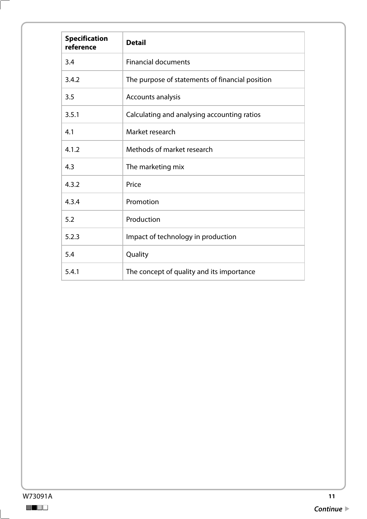| <b>Specification</b><br>reference | <b>Detail</b>                                   |
|-----------------------------------|-------------------------------------------------|
| 3.4                               | <b>Financial documents</b>                      |
| 3.4.2                             | The purpose of statements of financial position |
| 3.5                               | Accounts analysis                               |
| 3.5.1                             | Calculating and analysing accounting ratios     |
| 4.1                               | Market research                                 |
| 4.1.2                             | Methods of market research                      |
| 4.3                               | The marketing mix                               |
| 4.3.2                             | Price                                           |
| 4.3.4                             | Promotion                                       |
| 5.2                               | Production                                      |
| 5.2.3                             | Impact of technology in production              |
| 5.4                               | Quality                                         |
| 5.4.1                             | The concept of quality and its importance       |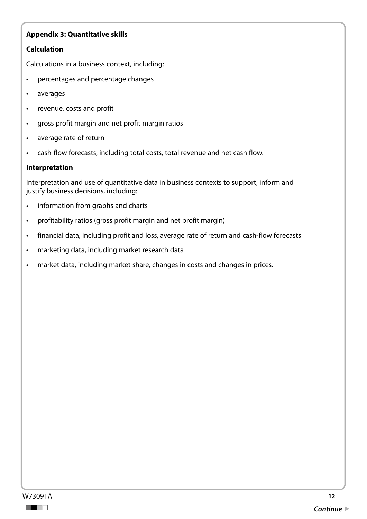### **Calculation**

Calculations in a business context, including:

- percentages and percentage changes
- averages
- revenue, costs and profit
- gross profit margin and net profit margin ratios
- average rate of return
- cash-flow forecasts, including total costs, total revenue and net cash flow.

#### **Interpretation**

Interpretation and use of quantitative data in business contexts to support, inform and justify business decisions, including:

- information from graphs and charts
- profitability ratios (gross profit margin and net profit margin)
- financial data, including profit and loss, average rate of return and cash-flow forecasts
- marketing data, including market research data
- market data, including market share, changes in costs and changes in prices.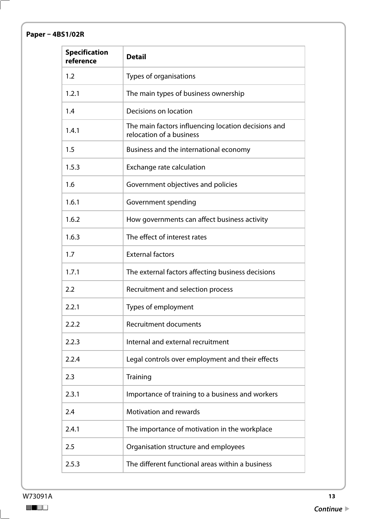# **Paper – 4BS1/02R**

| <b>Specification</b><br>reference | <b>Detail</b>                                                                   |
|-----------------------------------|---------------------------------------------------------------------------------|
| 1.2                               | Types of organisations                                                          |
| 1.2.1                             | The main types of business ownership                                            |
| 1.4                               | Decisions on location                                                           |
| 1.4.1                             | The main factors influencing location decisions and<br>relocation of a business |
| 1.5                               | Business and the international economy                                          |
| 1.5.3                             | Exchange rate calculation                                                       |
| 1.6                               | Government objectives and policies                                              |
| 1.6.1                             | Government spending                                                             |
| 1.6.2                             | How governments can affect business activity                                    |
| 1.6.3                             | The effect of interest rates                                                    |
| 1.7                               | <b>External factors</b>                                                         |
| 1.7.1                             | The external factors affecting business decisions                               |
| 2.2                               | Recruitment and selection process                                               |
| 2.2.1                             | Types of employment                                                             |
| 2.2.2                             | <b>Recruitment documents</b>                                                    |
| 2.2.3                             | Internal and external recruitment                                               |
| 2.2.4                             | Legal controls over employment and their effects                                |
| 2.3                               | Training                                                                        |
| 2.3.1                             | Importance of training to a business and workers                                |
| 2.4                               | <b>Motivation and rewards</b>                                                   |
| 2.4.1                             | The importance of motivation in the workplace                                   |
| 2.5                               | Organisation structure and employees                                            |
| 2.5.3                             | The different functional areas within a business                                |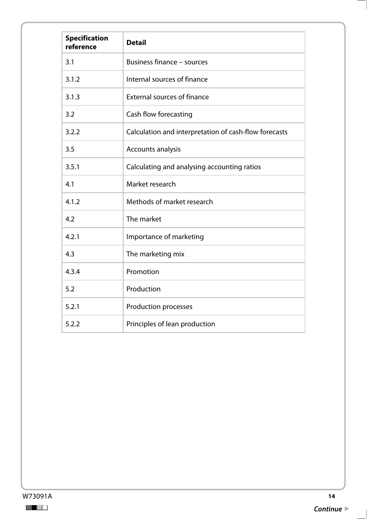| <b>Specification</b><br>reference | <b>Detail</b>                                         |
|-----------------------------------|-------------------------------------------------------|
| 3.1                               | <b>Business finance - sources</b>                     |
| 3.1.2                             | Internal sources of finance                           |
| 3.1.3                             | <b>External sources of finance</b>                    |
| 3.2                               | Cash flow forecasting                                 |
| 3.2.2                             | Calculation and interpretation of cash-flow forecasts |
| 3.5                               | Accounts analysis                                     |
| 3.5.1                             | Calculating and analysing accounting ratios           |
| 4.1                               | Market research                                       |
| 4.1.2                             | Methods of market research                            |
| 4.2                               | The market                                            |
| 4.2.1                             | Importance of marketing                               |
| 4.3                               | The marketing mix                                     |
| 4.3.4                             | Promotion                                             |
| 5.2                               | Production                                            |
| 5.2.1                             | <b>Production processes</b>                           |
| 5.2.2                             | Principles of lean production                         |